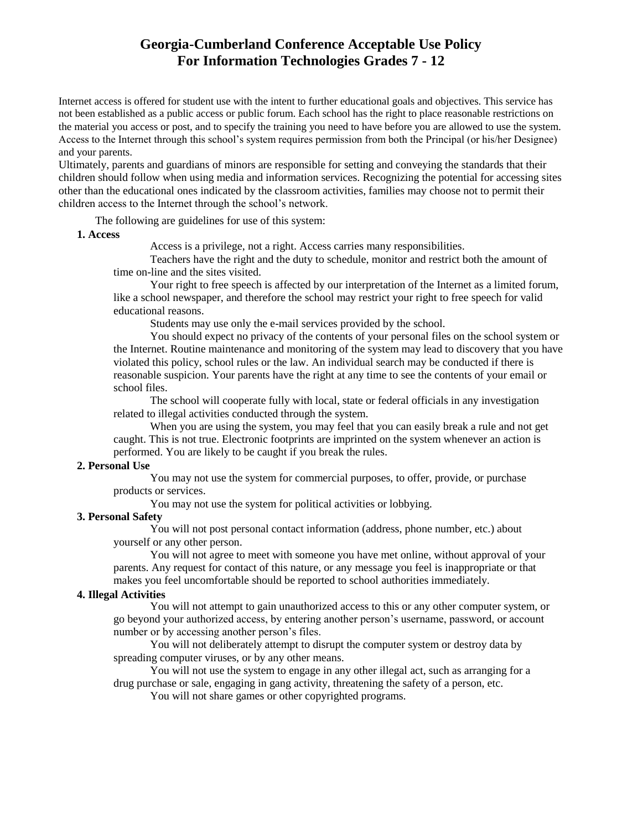# **Georgia-Cumberland Conference Acceptable Use Policy For Information Technologies Grades 7 - 12**

Internet access is offered for student use with the intent to further educational goals and objectives. This service has not been established as a public access or public forum. Each school has the right to place reasonable restrictions on the material you access or post, and to specify the training you need to have before you are allowed to use the system. Access to the Internet through this school's system requires permission from both the Principal (or his/her Designee) and your parents.

Ultimately, parents and guardians of minors are responsible for setting and conveying the standards that their children should follow when using media and information services. Recognizing the potential for accessing sites other than the educational ones indicated by the classroom activities, families may choose not to permit their children access to the Internet through the school's network.

The following are guidelines for use of this system:

### **1. Access**

Access is a privilege, not a right. Access carries many responsibilities.

Teachers have the right and the duty to schedule, monitor and restrict both the amount of time on-line and the sites visited.

Your right to free speech is affected by our interpretation of the Internet as a limited forum, like a school newspaper, and therefore the school may restrict your right to free speech for valid educational reasons.

Students may use only the e-mail services provided by the school.

You should expect no privacy of the contents of your personal files on the school system or the Internet. Routine maintenance and monitoring of the system may lead to discovery that you have violated this policy, school rules or the law. An individual search may be conducted if there is reasonable suspicion. Your parents have the right at any time to see the contents of your email or school files.

The school will cooperate fully with local, state or federal officials in any investigation related to illegal activities conducted through the system.

When you are using the system, you may feel that you can easily break a rule and not get caught. This is not true. Electronic footprints are imprinted on the system whenever an action is performed. You are likely to be caught if you break the rules.

## **2. Personal Use**

You may not use the system for commercial purposes, to offer, provide, or purchase products or services.

You may not use the system for political activities or lobbying.

### **3. Personal Safety**

You will not post personal contact information (address, phone number, etc.) about yourself or any other person.

You will not agree to meet with someone you have met online, without approval of your parents. Any request for contact of this nature, or any message you feel is inappropriate or that makes you feel uncomfortable should be reported to school authorities immediately.

### **4. Illegal Activities**

You will not attempt to gain unauthorized access to this or any other computer system, or go beyond your authorized access, by entering another person's username, password, or account number or by accessing another person's files.

You will not deliberately attempt to disrupt the computer system or destroy data by spreading computer viruses, or by any other means.

You will not use the system to engage in any other illegal act, such as arranging for a drug purchase or sale, engaging in gang activity, threatening the safety of a person, etc.

You will not share games or other copyrighted programs.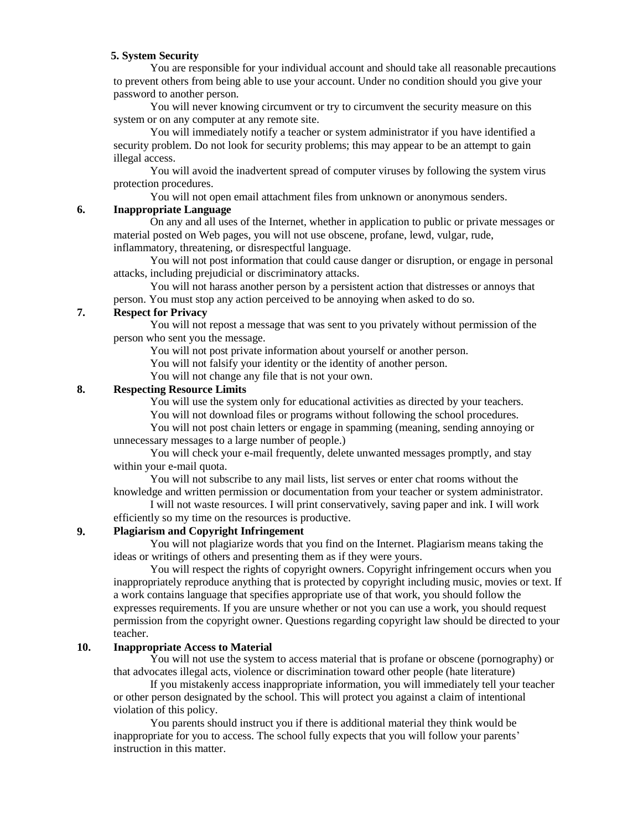### **5. System Security**

You are responsible for your individual account and should take all reasonable precautions to prevent others from being able to use your account. Under no condition should you give your password to another person.

You will never knowing circumvent or try to circumvent the security measure on this system or on any computer at any remote site.

You will immediately notify a teacher or system administrator if you have identified a security problem. Do not look for security problems; this may appear to be an attempt to gain illegal access.

You will avoid the inadvertent spread of computer viruses by following the system virus protection procedures.

You will not open email attachment files from unknown or anonymous senders.

#### **6. Inappropriate Language**

On any and all uses of the Internet, whether in application to public or private messages or material posted on Web pages, you will not use obscene, profane, lewd, vulgar, rude, inflammatory, threatening, or disrespectful language.

You will not post information that could cause danger or disruption, or engage in personal attacks, including prejudicial or discriminatory attacks.

You will not harass another person by a persistent action that distresses or annoys that person. You must stop any action perceived to be annoying when asked to do so.

#### **7. Respect for Privacy**

You will not repost a message that was sent to you privately without permission of the person who sent you the message.

You will not post private information about yourself or another person.

You will not falsify your identity or the identity of another person.

You will not change any file that is not your own.

#### **8. Respecting Resource Limits**

You will use the system only for educational activities as directed by your teachers.

You will not download files or programs without following the school procedures.

You will not post chain letters or engage in spamming (meaning, sending annoying or unnecessary messages to a large number of people.)

You will check your e-mail frequently, delete unwanted messages promptly, and stay within your e-mail quota.

You will not subscribe to any mail lists, list serves or enter chat rooms without the knowledge and written permission or documentation from your teacher or system administrator.

I will not waste resources. I will print conservatively, saving paper and ink. I will work efficiently so my time on the resources is productive.

#### **9. Plagiarism and Copyright Infringement**

You will not plagiarize words that you find on the Internet. Plagiarism means taking the ideas or writings of others and presenting them as if they were yours.

You will respect the rights of copyright owners. Copyright infringement occurs when you inappropriately reproduce anything that is protected by copyright including music, movies or text. If a work contains language that specifies appropriate use of that work, you should follow the expresses requirements. If you are unsure whether or not you can use a work, you should request permission from the copyright owner. Questions regarding copyright law should be directed to your teacher.

#### **10. Inappropriate Access to Material**

You will not use the system to access material that is profane or obscene (pornography) or that advocates illegal acts, violence or discrimination toward other people (hate literature)

If you mistakenly access inappropriate information, you will immediately tell your teacher or other person designated by the school. This will protect you against a claim of intentional violation of this policy.

You parents should instruct you if there is additional material they think would be inappropriate for you to access. The school fully expects that you will follow your parents' instruction in this matter.